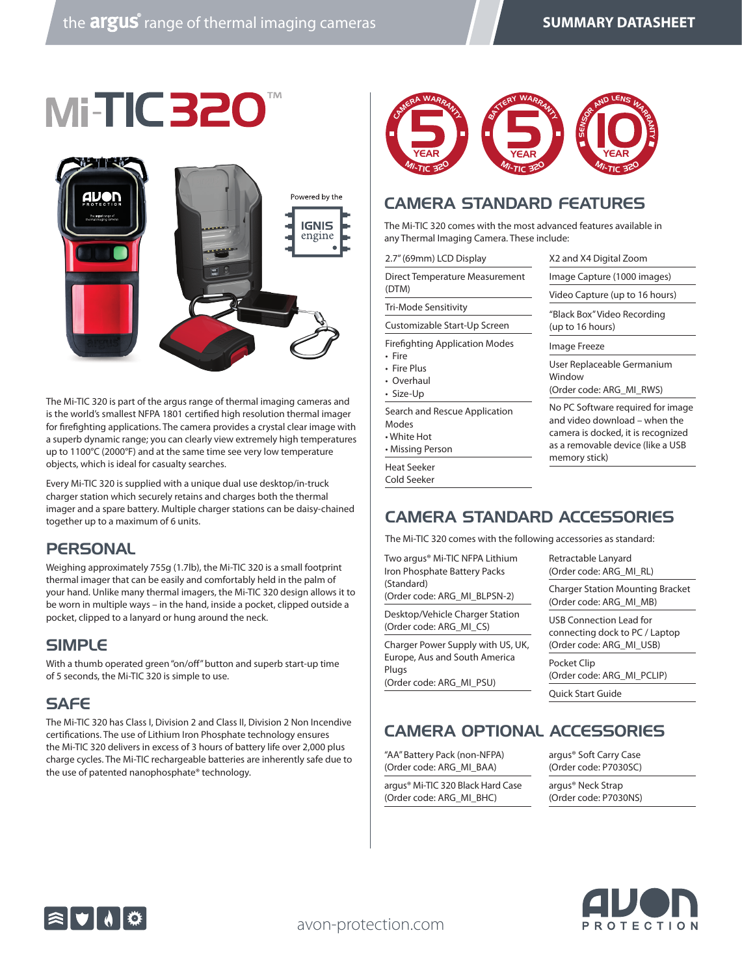# Mi-TIC320



The Mi-TIC 320 is part of the argus range of thermal imaging cameras and is the world's smallest NFPA 1801 certified high resolution thermal imager for firefighting applications. The camera provides a crystal clear image with a superb dynamic range; you can clearly view extremely high temperatures up to 1100°C (2000°F) and at the same time see very low temperature objects, which is ideal for casualty searches.

Every Mi-TIC 320 is supplied with a unique dual use desktop/in-truck charger station which securely retains and charges both the thermal imager and a spare battery. Multiple charger stations can be daisy-chained together up to a maximum of 6 units.

#### **PERSONAL**

Weighing approximately 755g (1.7lb), the Mi-TIC 320 is a small footprint thermal imager that can be easily and comfortably held in the palm of your hand. Unlike many thermal imagers, the Mi-TIC 320 design allows it to be worn in multiple ways – in the hand, inside a pocket, clipped outside a pocket, clipped to a lanyard or hung around the neck.

#### SIMPLE

With a thumb operated green "on/off" button and superb start-up time of 5 seconds, the Mi-TIC 320 is simple to use.

#### **SAFE**

The Mi-TIC 320 has Class I, Division 2 and Class II, Division 2 Non Incendive certifications. The use of Lithium Iron Phosphate technology ensures the Mi-TIC 320 delivers in excess of 3 hours of battery life over 2,000 plus charge cycles. The Mi-TIC rechargeable batteries are inherently safe due to the use of patented nanophosphate® technology.



#### CAMERA STANDARD FEATURES

The Mi-TIC 320 comes with the most advanced features available in any Thermal Imaging Camera. These include:

| 2.7" (69mm) LCD Display                                                           | X2 and X4 Digital Zoom                                                                                                                                         |  |
|-----------------------------------------------------------------------------------|----------------------------------------------------------------------------------------------------------------------------------------------------------------|--|
| Direct Temperature Measurement                                                    | Image Capture (1000 images)                                                                                                                                    |  |
| (DTM)                                                                             | Video Capture (up to 16 hours)                                                                                                                                 |  |
| Tri-Mode Sensitivity                                                              | "Black Box" Video Recording                                                                                                                                    |  |
| Customizable Start-Up Screen                                                      | (up to 16 hours)                                                                                                                                               |  |
| <b>Firefighting Application Modes</b>                                             | Image Freeze                                                                                                                                                   |  |
| • Fire<br>• Fire Plus<br>• Overhaul<br>• Size-Up                                  | User Replaceable Germanium<br>Window<br>(Order code: ARG MI RWS)                                                                                               |  |
| Search and Rescue Application<br>Modes<br>$\bullet$ White Hot<br>• Missing Person | No PC Software required for image<br>and video download – when the<br>camera is docked, it is recognized<br>as a removable device (like a USB<br>memory stick) |  |
| Heat Seeker<br>Cold Seeker                                                        |                                                                                                                                                                |  |
|                                                                                   |                                                                                                                                                                |  |

#### CAMERA STANDARD ACCESSORIES

The Mi-TIC 320 comes with the following accessories as standard:

Two argus® Mi-TIC NFPA Lithium Iron Phosphate Battery Packs (Standard)

(Order code: ARG\_MI\_BLPSN-2)

Desktop/Vehicle Charger Station (Order code: ARG\_MI\_CS)

Charger Power Supply with US, UK, Europe, Aus and South America Plugs (Order code: ARG\_MI\_PSU)

Retractable Lanyard (Order code: ARG\_MI\_RL)

Charger Station Mounting Bracket (Order code: ARG\_MI\_MB)

USB Connection Lead for connecting dock to PC / Laptop (Order code: ARG\_MI\_USB)

Pocket Clip (Order code: ARG\_MI\_PCLIP)

Quick Start Guide

### CAMERA OPTIONAL ACCESSORIES

"AA" Battery Pack (non-NFPA) (Order code: ARG\_MI\_BAA)

argus® Mi-TIC 320 Black Hard Case (Order code: ARG\_MI\_BHC)

argus® Soft Carry Case (Order code: P7030SC)

argus® Neck Strap (Order code: P7030NS)